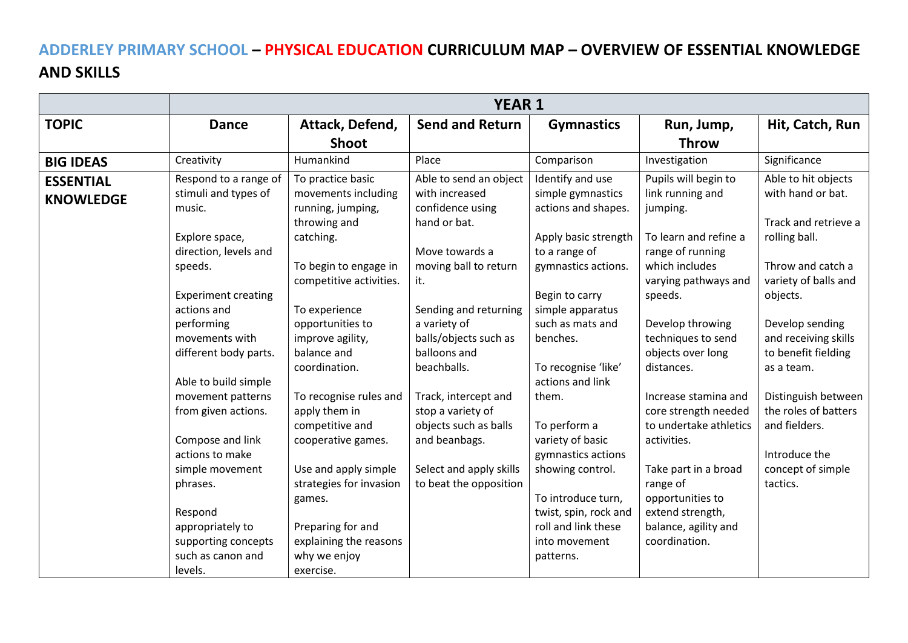## **ADDERLEY PRIMARY SCHOOL – PHYSICAL EDUCATION CURRICULUM MAP – OVERVIEW OF ESSENTIAL KNOWLEDGE AND SKILLS**

|                  | <b>YEAR 1</b>              |                         |                         |                       |                        |                      |  |  |  |
|------------------|----------------------------|-------------------------|-------------------------|-----------------------|------------------------|----------------------|--|--|--|
| <b>TOPIC</b>     | <b>Dance</b>               | Attack, Defend,         | <b>Send and Return</b>  | <b>Gymnastics</b>     | Run, Jump,             | Hit, Catch, Run      |  |  |  |
|                  |                            | <b>Shoot</b>            |                         |                       | <b>Throw</b>           |                      |  |  |  |
| <b>BIG IDEAS</b> | Creativity                 | Humankind               | Place                   | Comparison            | Investigation          | Significance         |  |  |  |
| <b>ESSENTIAL</b> | Respond to a range of      | To practice basic       | Able to send an object  | Identify and use      | Pupils will begin to   | Able to hit objects  |  |  |  |
| <b>KNOWLEDGE</b> | stimuli and types of       | movements including     | with increased          | simple gymnastics     | link running and       | with hand or bat.    |  |  |  |
|                  | music.                     | running, jumping,       | confidence using        | actions and shapes.   | jumping.               |                      |  |  |  |
|                  |                            | throwing and            | hand or bat.            |                       |                        | Track and retrieve a |  |  |  |
|                  | Explore space,             | catching.               |                         | Apply basic strength  | To learn and refine a  | rolling ball.        |  |  |  |
|                  | direction, levels and      |                         | Move towards a          | to a range of         | range of running       |                      |  |  |  |
|                  | speeds.                    | To begin to engage in   | moving ball to return   | gymnastics actions.   | which includes         | Throw and catch a    |  |  |  |
|                  |                            | competitive activities. | it.                     |                       | varying pathways and   | variety of balls and |  |  |  |
|                  | <b>Experiment creating</b> |                         |                         | Begin to carry        | speeds.                | objects.             |  |  |  |
|                  | actions and                | To experience           | Sending and returning   | simple apparatus      |                        |                      |  |  |  |
|                  | performing                 | opportunities to        | a variety of            | such as mats and      | Develop throwing       | Develop sending      |  |  |  |
|                  | movements with             | improve agility,        | balls/objects such as   | benches.              | techniques to send     | and receiving skills |  |  |  |
|                  | different body parts.      | balance and             | balloons and            |                       | objects over long      | to benefit fielding  |  |  |  |
|                  |                            | coordination.           | beachballs.             | To recognise 'like'   | distances.             | as a team.           |  |  |  |
|                  | Able to build simple       |                         |                         | actions and link      |                        |                      |  |  |  |
|                  | movement patterns          | To recognise rules and  | Track, intercept and    | them.                 | Increase stamina and   | Distinguish between  |  |  |  |
|                  | from given actions.        | apply them in           | stop a variety of       |                       | core strength needed   | the roles of batters |  |  |  |
|                  |                            | competitive and         | objects such as balls   | To perform a          | to undertake athletics | and fielders.        |  |  |  |
|                  | Compose and link           | cooperative games.      | and beanbags.           | variety of basic      | activities.            |                      |  |  |  |
|                  | actions to make            |                         |                         | gymnastics actions    |                        | Introduce the        |  |  |  |
|                  | simple movement            | Use and apply simple    | Select and apply skills | showing control.      | Take part in a broad   | concept of simple    |  |  |  |
|                  | phrases.                   | strategies for invasion | to beat the opposition  |                       | range of               | tactics.             |  |  |  |
|                  |                            | games.                  |                         | To introduce turn,    | opportunities to       |                      |  |  |  |
|                  | Respond                    |                         |                         | twist, spin, rock and | extend strength,       |                      |  |  |  |
|                  | appropriately to           | Preparing for and       |                         | roll and link these   | balance, agility and   |                      |  |  |  |
|                  | supporting concepts        | explaining the reasons  |                         | into movement         | coordination.          |                      |  |  |  |
|                  | such as canon and          | why we enjoy            |                         | patterns.             |                        |                      |  |  |  |
|                  | levels.                    | exercise.               |                         |                       |                        |                      |  |  |  |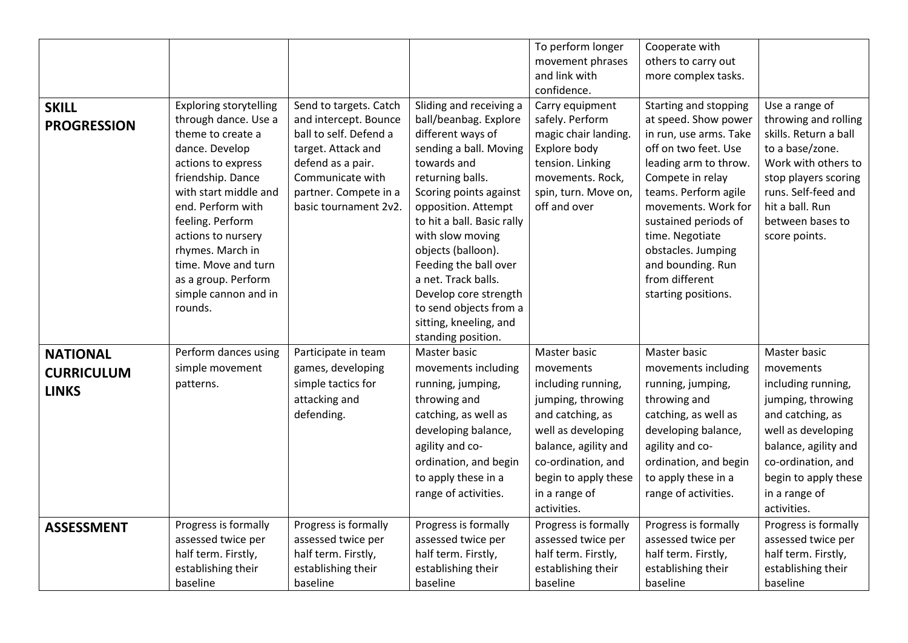|                    |                               |                        |                            | To perform longer    | Cooperate with         |                       |
|--------------------|-------------------------------|------------------------|----------------------------|----------------------|------------------------|-----------------------|
|                    |                               |                        |                            | movement phrases     | others to carry out    |                       |
|                    |                               |                        |                            | and link with        | more complex tasks.    |                       |
|                    |                               |                        |                            | confidence.          |                        |                       |
| <b>SKILL</b>       | <b>Exploring storytelling</b> | Send to targets. Catch | Sliding and receiving a    | Carry equipment      | Starting and stopping  | Use a range of        |
| <b>PROGRESSION</b> | through dance. Use a          | and intercept. Bounce  | ball/beanbag. Explore      | safely. Perform      | at speed. Show power   | throwing and rolling  |
|                    | theme to create a             | ball to self. Defend a | different ways of          | magic chair landing. | in run, use arms. Take | skills. Return a ball |
|                    | dance. Develop                | target. Attack and     | sending a ball. Moving     | Explore body         | off on two feet. Use   | to a base/zone.       |
|                    | actions to express            | defend as a pair.      | towards and                | tension. Linking     | leading arm to throw.  | Work with others to   |
|                    | friendship. Dance             | Communicate with       | returning balls.           | movements. Rock,     | Compete in relay       | stop players scoring  |
|                    | with start middle and         | partner. Compete in a  | Scoring points against     | spin, turn. Move on, | teams. Perform agile   | runs. Self-feed and   |
|                    | end. Perform with             | basic tournament 2v2.  | opposition. Attempt        | off and over         | movements. Work for    | hit a ball. Run       |
|                    | feeling. Perform              |                        | to hit a ball. Basic rally |                      | sustained periods of   | between bases to      |
|                    | actions to nursery            |                        | with slow moving           |                      | time. Negotiate        | score points.         |
|                    | rhymes. March in              |                        | objects (balloon).         |                      | obstacles. Jumping     |                       |
|                    | time. Move and turn           |                        | Feeding the ball over      |                      | and bounding. Run      |                       |
|                    | as a group. Perform           |                        | a net. Track balls.        |                      | from different         |                       |
|                    | simple cannon and in          |                        | Develop core strength      |                      | starting positions.    |                       |
|                    | rounds.                       |                        | to send objects from a     |                      |                        |                       |
|                    |                               |                        | sitting, kneeling, and     |                      |                        |                       |
|                    |                               |                        | standing position.         |                      |                        |                       |
| <b>NATIONAL</b>    | Perform dances using          | Participate in team    | Master basic               | Master basic         | Master basic           | Master basic          |
| <b>CURRICULUM</b>  | simple movement               | games, developing      | movements including        | movements            | movements including    | movements             |
| <b>LINKS</b>       | patterns.                     | simple tactics for     | running, jumping,          | including running,   | running, jumping,      | including running,    |
|                    |                               | attacking and          | throwing and               | jumping, throwing    | throwing and           | jumping, throwing     |
|                    |                               | defending.             | catching, as well as       | and catching, as     | catching, as well as   | and catching, as      |
|                    |                               |                        | developing balance,        | well as developing   | developing balance,    | well as developing    |
|                    |                               |                        | agility and co-            | balance, agility and | agility and co-        | balance, agility and  |
|                    |                               |                        | ordination, and begin      | co-ordination, and   | ordination, and begin  | co-ordination, and    |
|                    |                               |                        | to apply these in a        | begin to apply these | to apply these in a    | begin to apply these  |
|                    |                               |                        | range of activities.       | in a range of        | range of activities.   | in a range of         |
|                    |                               |                        |                            | activities.          |                        | activities.           |
| <b>ASSESSMENT</b>  | Progress is formally          | Progress is formally   | Progress is formally       | Progress is formally | Progress is formally   | Progress is formally  |
|                    | assessed twice per            | assessed twice per     | assessed twice per         | assessed twice per   | assessed twice per     | assessed twice per    |
|                    | half term. Firstly,           | half term. Firstly,    | half term. Firstly,        | half term. Firstly,  | half term. Firstly,    | half term. Firstly,   |
|                    | establishing their            | establishing their     | establishing their         | establishing their   | establishing their     | establishing their    |
|                    | baseline                      | baseline               | baseline                   | baseline             | baseline               | baseline              |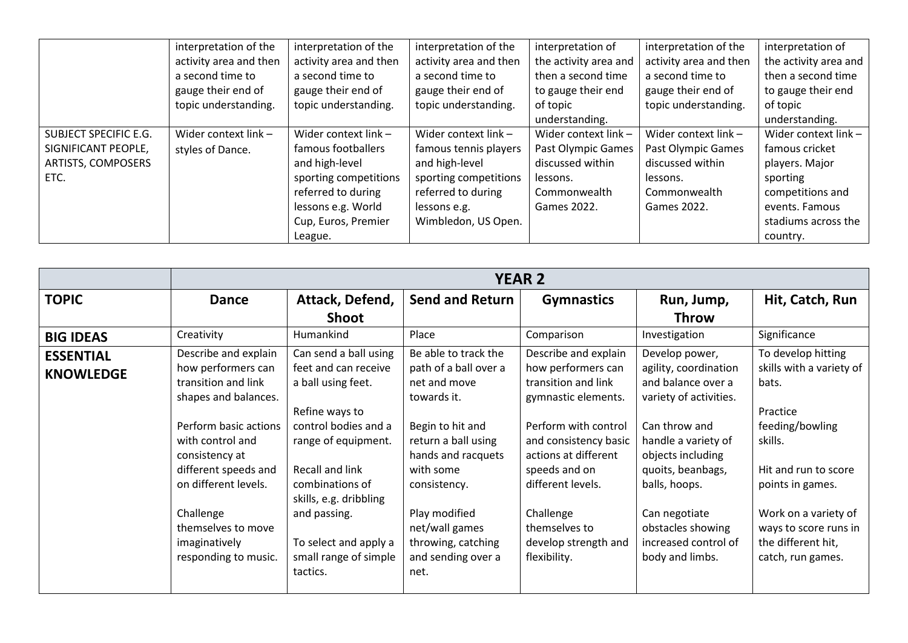|                           | interpretation of the  | interpretation of the  | interpretation of the  | interpretation of     | interpretation of the  | interpretation of     |
|---------------------------|------------------------|------------------------|------------------------|-----------------------|------------------------|-----------------------|
|                           | activity area and then | activity area and then | activity area and then | the activity area and | activity area and then | the activity area and |
|                           | a second time to       | a second time to       | a second time to       | then a second time    | a second time to       | then a second time    |
|                           | gauge their end of     | gauge their end of     | gauge their end of     | to gauge their end    | gauge their end of     | to gauge their end    |
|                           | topic understanding.   | topic understanding.   | topic understanding.   | of topic              | topic understanding.   | of topic              |
|                           |                        |                        |                        | understanding.        |                        | understanding.        |
| SUBJECT SPECIFIC E.G.     | Wider context link -   | Wider context link -   | Wider context $link -$ | Wider context link -  | Wider context $link -$ | Wider context link -  |
| SIGNIFICANT PEOPLE,       | styles of Dance.       | famous footballers     | famous tennis players  | Past Olympic Games    | Past Olympic Games     | famous cricket        |
| <b>ARTISTS, COMPOSERS</b> |                        | and high-level         | and high-level         | discussed within      | discussed within       | players. Major        |
| ETC.                      |                        | sporting competitions  | sporting competitions  | lessons.              | lessons.               | sporting              |
|                           |                        | referred to during     | referred to during     | Commonwealth          | Commonwealth           | competitions and      |
|                           |                        | lessons e.g. World     | lessons e.g.           | Games 2022.           | Games 2022.            | events. Famous        |
|                           |                        | Cup, Euros, Premier    | Wimbledon, US Open.    |                       |                        | stadiums across the   |
|                           |                        | League.                |                        |                       |                        | country.              |

|                                      | <b>YEAR 2</b>                                                                                                                                                                                                                                                                        |                                                                                                                                                                                                                                                                                    |                                                                                                                                                                                                                                                                   |                                                                                                                                                                                                                                                                               |                                                                                                                                                                                                                                                                             |                                                                                                                                                                                                                                           |  |  |
|--------------------------------------|--------------------------------------------------------------------------------------------------------------------------------------------------------------------------------------------------------------------------------------------------------------------------------------|------------------------------------------------------------------------------------------------------------------------------------------------------------------------------------------------------------------------------------------------------------------------------------|-------------------------------------------------------------------------------------------------------------------------------------------------------------------------------------------------------------------------------------------------------------------|-------------------------------------------------------------------------------------------------------------------------------------------------------------------------------------------------------------------------------------------------------------------------------|-----------------------------------------------------------------------------------------------------------------------------------------------------------------------------------------------------------------------------------------------------------------------------|-------------------------------------------------------------------------------------------------------------------------------------------------------------------------------------------------------------------------------------------|--|--|
| <b>TOPIC</b>                         | <b>Dance</b>                                                                                                                                                                                                                                                                         | Attack, Defend,<br>Shoot                                                                                                                                                                                                                                                           | <b>Send and Return</b>                                                                                                                                                                                                                                            | <b>Gymnastics</b>                                                                                                                                                                                                                                                             | Run, Jump,<br><b>Throw</b>                                                                                                                                                                                                                                                  | Hit, Catch, Run                                                                                                                                                                                                                           |  |  |
| <b>BIG IDEAS</b>                     | Creativity                                                                                                                                                                                                                                                                           | Humankind                                                                                                                                                                                                                                                                          | Place                                                                                                                                                                                                                                                             | Comparison                                                                                                                                                                                                                                                                    | Investigation                                                                                                                                                                                                                                                               | Significance                                                                                                                                                                                                                              |  |  |
| <b>ESSENTIAL</b><br><b>KNOWLEDGE</b> | Describe and explain<br>how performers can<br>transition and link<br>shapes and balances.<br>Perform basic actions<br>with control and<br>consistency at<br>different speeds and<br>on different levels.<br>Challenge<br>themselves to move<br>imaginatively<br>responding to music. | Can send a ball using<br>feet and can receive<br>a ball using feet.<br>Refine ways to<br>control bodies and a<br>range of equipment.<br>Recall and link<br>combinations of<br>skills, e.g. dribbling<br>and passing.<br>To select and apply a<br>small range of simple<br>tactics. | Be able to track the<br>path of a ball over a<br>net and move<br>towards it.<br>Begin to hit and<br>return a ball using<br>hands and racquets<br>with some<br>consistency.<br>Play modified<br>net/wall games<br>throwing, catching<br>and sending over a<br>net. | Describe and explain<br>how performers can<br>transition and link<br>gymnastic elements.<br>Perform with control<br>and consistency basic<br>actions at different<br>speeds and on<br>different levels.<br>Challenge<br>themselves to<br>develop strength and<br>flexibility. | Develop power,<br>agility, coordination<br>and balance over a<br>variety of activities.<br>Can throw and<br>handle a variety of<br>objects including<br>quoits, beanbags,<br>balls, hoops.<br>Can negotiate<br>obstacles showing<br>increased control of<br>body and limbs. | To develop hitting<br>skills with a variety of<br>bats.<br>Practice<br>feeding/bowling<br>skills.<br>Hit and run to score<br>points in games.<br>Work on a variety of<br>ways to score runs in<br>the different hit,<br>catch, run games. |  |  |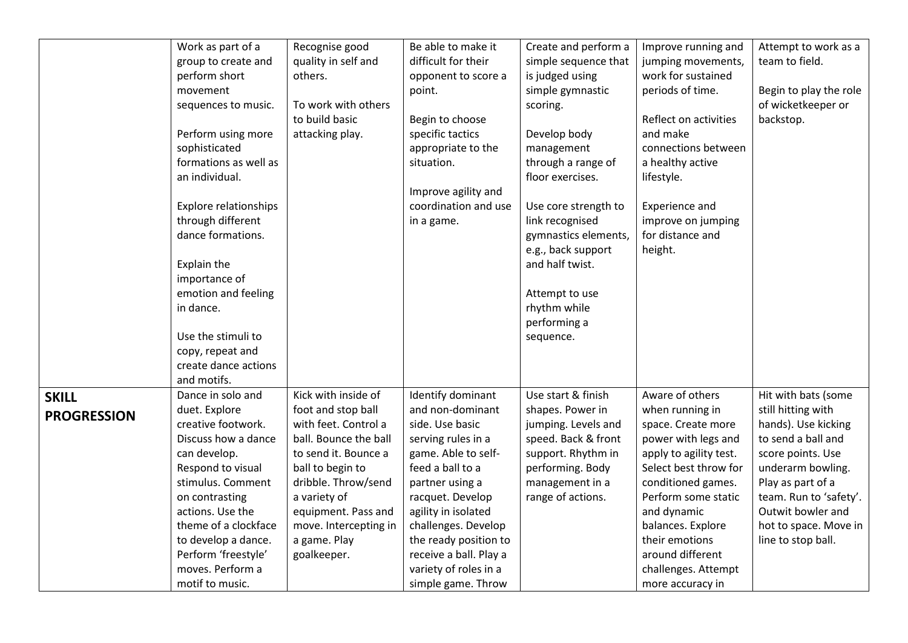|                                    | Work as part of a<br>group to create and<br>perform short                                                                                                                                                                                                                 | Recognise good<br>quality in self and<br>others.                                                                                                                                                                                                             | Be able to make it<br>difficult for their<br>opponent to score a                                                                                                                                                                                                                           | Create and perform a<br>simple sequence that<br>is judged using                                                                                                         | Improve running and<br>jumping movements,<br>work for sustained                                                                                                                                                                                                                  | Attempt to work as a<br>team to field.                                                                                                                                                                                                              |
|------------------------------------|---------------------------------------------------------------------------------------------------------------------------------------------------------------------------------------------------------------------------------------------------------------------------|--------------------------------------------------------------------------------------------------------------------------------------------------------------------------------------------------------------------------------------------------------------|--------------------------------------------------------------------------------------------------------------------------------------------------------------------------------------------------------------------------------------------------------------------------------------------|-------------------------------------------------------------------------------------------------------------------------------------------------------------------------|----------------------------------------------------------------------------------------------------------------------------------------------------------------------------------------------------------------------------------------------------------------------------------|-----------------------------------------------------------------------------------------------------------------------------------------------------------------------------------------------------------------------------------------------------|
|                                    | movement<br>sequences to music.                                                                                                                                                                                                                                           | To work with others                                                                                                                                                                                                                                          | point.                                                                                                                                                                                                                                                                                     | simple gymnastic<br>scoring.                                                                                                                                            | periods of time.                                                                                                                                                                                                                                                                 | Begin to play the role<br>of wicketkeeper or                                                                                                                                                                                                        |
|                                    | Perform using more<br>sophisticated<br>formations as well as<br>an individual.                                                                                                                                                                                            | to build basic<br>attacking play.                                                                                                                                                                                                                            | Begin to choose<br>specific tactics<br>appropriate to the<br>situation.                                                                                                                                                                                                                    | Develop body<br>management<br>through a range of<br>floor exercises.                                                                                                    | Reflect on activities<br>and make<br>connections between<br>a healthy active<br>lifestyle.                                                                                                                                                                                       | backstop.                                                                                                                                                                                                                                           |
|                                    | <b>Explore relationships</b><br>through different<br>dance formations.<br>Explain the<br>importance of<br>emotion and feeling<br>in dance.<br>Use the stimuli to<br>copy, repeat and                                                                                      |                                                                                                                                                                                                                                                              | Improve agility and<br>coordination and use<br>in a game.                                                                                                                                                                                                                                  | Use core strength to<br>link recognised<br>gymnastics elements,<br>e.g., back support<br>and half twist.<br>Attempt to use<br>rhythm while<br>performing a<br>sequence. | Experience and<br>improve on jumping<br>for distance and<br>height.                                                                                                                                                                                                              |                                                                                                                                                                                                                                                     |
|                                    | create dance actions<br>and motifs.                                                                                                                                                                                                                                       |                                                                                                                                                                                                                                                              |                                                                                                                                                                                                                                                                                            |                                                                                                                                                                         |                                                                                                                                                                                                                                                                                  |                                                                                                                                                                                                                                                     |
| <b>SKILL</b><br><b>PROGRESSION</b> | Dance in solo and<br>duet. Explore<br>creative footwork.<br>Discuss how a dance<br>can develop.<br>Respond to visual<br>stimulus. Comment<br>on contrasting<br>actions. Use the<br>theme of a clockface<br>to develop a dance.<br>Perform 'freestyle'<br>moves. Perform a | Kick with inside of<br>foot and stop ball<br>with feet. Control a<br>ball. Bounce the ball<br>to send it. Bounce a<br>ball to begin to<br>dribble. Throw/send<br>a variety of<br>equipment. Pass and<br>move. Intercepting in<br>a game. Play<br>goalkeeper. | Identify dominant<br>and non-dominant<br>side. Use basic<br>serving rules in a<br>game. Able to self-<br>feed a ball to a<br>partner using a<br>racquet. Develop<br>agility in isolated<br>challenges. Develop<br>the ready position to<br>receive a ball. Play a<br>variety of roles in a | Use start & finish<br>shapes. Power in<br>jumping. Levels and<br>speed. Back & front<br>support. Rhythm in<br>performing. Body<br>management in a<br>range of actions.  | Aware of others<br>when running in<br>space. Create more<br>power with legs and<br>apply to agility test.<br>Select best throw for<br>conditioned games.<br>Perform some static<br>and dynamic<br>balances. Explore<br>their emotions<br>around different<br>challenges. Attempt | Hit with bats (some<br>still hitting with<br>hands). Use kicking<br>to send a ball and<br>score points. Use<br>underarm bowling.<br>Play as part of a<br>team. Run to 'safety'.<br>Outwit bowler and<br>hot to space. Move in<br>line to stop ball. |
|                                    | motif to music.                                                                                                                                                                                                                                                           |                                                                                                                                                                                                                                                              | simple game. Throw                                                                                                                                                                                                                                                                         |                                                                                                                                                                         | more accuracy in                                                                                                                                                                                                                                                                 |                                                                                                                                                                                                                                                     |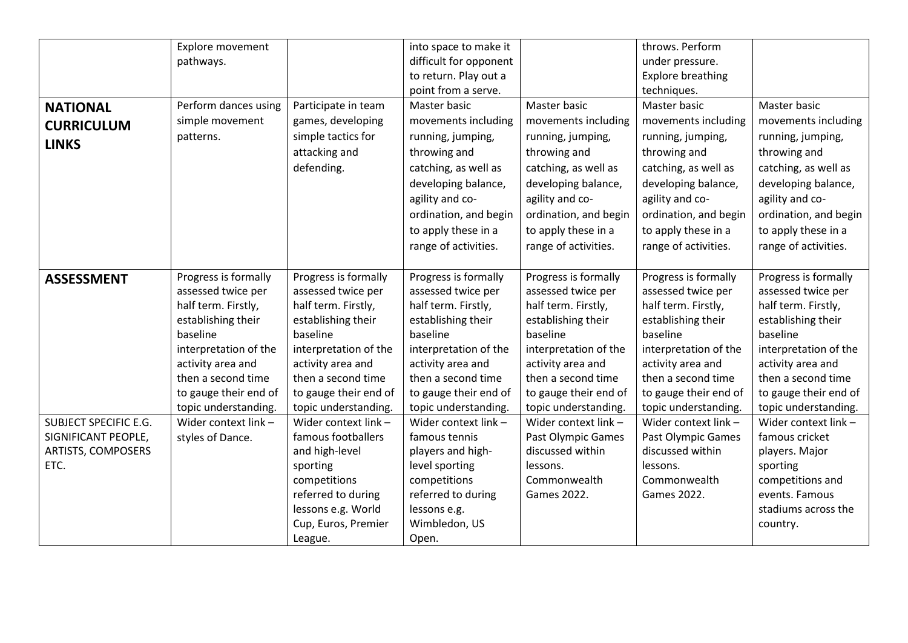| <b>NATIONAL</b><br><b>CURRICULUM</b><br><b>LINKS</b>                                                   | pathways.<br>Perform dances using<br>simple movement<br>patterns.                                                                                                                                                                                                    | Participate in team<br>games, developing<br>simple tactics for<br>attacking and<br>defending.                                                                                                                                                                                                                                                                                           | difficult for opponent<br>to return. Play out a<br>point from a serve.<br>Master basic<br>movements including<br>running, jumping,<br>throwing and<br>catching, as well as<br>developing balance,<br>agility and co-<br>ordination, and begin<br>to apply these in a<br>range of activities.                                                                                    | Master basic<br>movements including<br>running, jumping,<br>throwing and<br>catching, as well as<br>developing balance,<br>agility and co-<br>ordination, and begin<br>to apply these in a<br>range of activities.                                                                                                                                  | under pressure.<br><b>Explore breathing</b><br>techniques.<br>Master basic<br>movements including<br>running, jumping,<br>throwing and<br>catching, as well as<br>developing balance,<br>agility and co-<br>ordination, and begin<br>to apply these in a<br>range of activities.                                                            | Master basic<br>movements including<br>running, jumping,<br>throwing and<br>catching, as well as<br>developing balance,<br>agility and co-<br>ordination, and begin<br>to apply these in a<br>range of activities.                                                                                                                                                        |
|--------------------------------------------------------------------------------------------------------|----------------------------------------------------------------------------------------------------------------------------------------------------------------------------------------------------------------------------------------------------------------------|-----------------------------------------------------------------------------------------------------------------------------------------------------------------------------------------------------------------------------------------------------------------------------------------------------------------------------------------------------------------------------------------|---------------------------------------------------------------------------------------------------------------------------------------------------------------------------------------------------------------------------------------------------------------------------------------------------------------------------------------------------------------------------------|-----------------------------------------------------------------------------------------------------------------------------------------------------------------------------------------------------------------------------------------------------------------------------------------------------------------------------------------------------|---------------------------------------------------------------------------------------------------------------------------------------------------------------------------------------------------------------------------------------------------------------------------------------------------------------------------------------------|---------------------------------------------------------------------------------------------------------------------------------------------------------------------------------------------------------------------------------------------------------------------------------------------------------------------------------------------------------------------------|
| <b>ASSESSMENT</b><br><b>SUBJECT SPECIFIC E.G.</b><br>SIGNIFICANT PEOPLE,<br>ARTISTS, COMPOSERS<br>ETC. | Progress is formally<br>assessed twice per<br>half term. Firstly,<br>establishing their<br>baseline<br>interpretation of the<br>activity area and<br>then a second time<br>to gauge their end of<br>topic understanding.<br>Wider context link -<br>styles of Dance. | Progress is formally<br>assessed twice per<br>half term. Firstly,<br>establishing their<br>baseline<br>interpretation of the<br>activity area and<br>then a second time<br>to gauge their end of<br>topic understanding.<br>Wider context link -<br>famous footballers<br>and high-level<br>sporting<br>competitions<br>referred to during<br>lessons e.g. World<br>Cup, Euros, Premier | Progress is formally<br>assessed twice per<br>half term. Firstly,<br>establishing their<br>baseline<br>interpretation of the<br>activity area and<br>then a second time<br>to gauge their end of<br>topic understanding.<br>Wider context link -<br>famous tennis<br>players and high-<br>level sporting<br>competitions<br>referred to during<br>lessons e.g.<br>Wimbledon, US | Progress is formally<br>assessed twice per<br>half term. Firstly,<br>establishing their<br>baseline<br>interpretation of the<br>activity area and<br>then a second time<br>to gauge their end of<br>topic understanding.<br>Wider context link -<br><b>Past Olympic Games</b><br>discussed within<br>lessons.<br>Commonwealth<br><b>Games 2022.</b> | Progress is formally<br>assessed twice per<br>half term. Firstly,<br>establishing their<br>baseline<br>interpretation of the<br>activity area and<br>then a second time<br>to gauge their end of<br>topic understanding<br>Wider context link -<br>Past Olympic Games<br>discussed within<br>lessons.<br>Commonwealth<br><b>Games 2022.</b> | Progress is formally<br>assessed twice per<br>half term. Firstly,<br>establishing their<br>baseline<br>interpretation of the<br>activity area and<br>then a second time<br>to gauge their end of<br>topic understanding.<br>Wider context link -<br>famous cricket<br>players. Major<br>sporting<br>competitions and<br>events. Famous<br>stadiums across the<br>country. |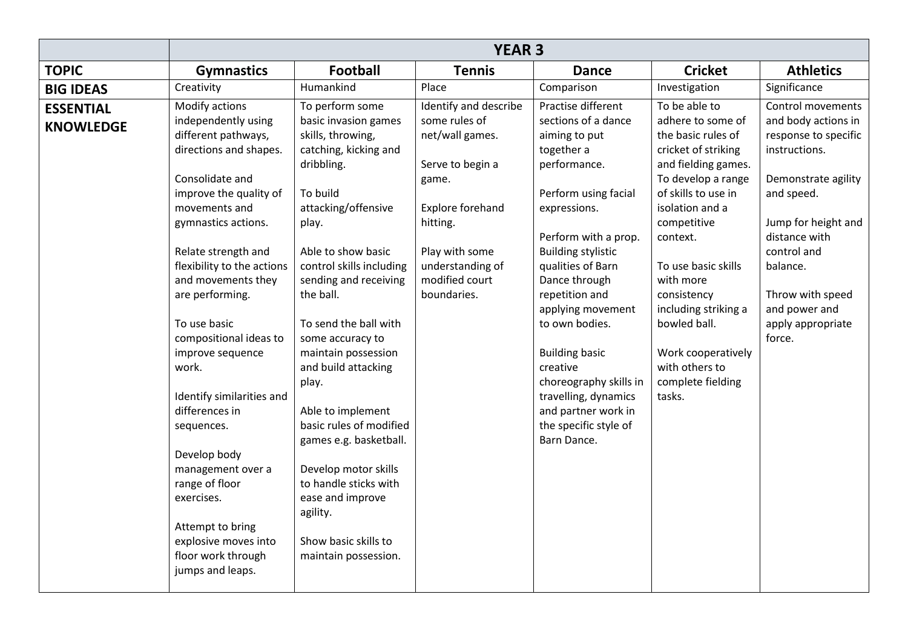|                                      | <b>YEAR 3</b>                                                                                                                                                                                                                                                                                                                                                                                                                                                                                                                                                            |                                                                                                                                                                                                                                                                                                                                                                                                                                                                                                                                                        |                                                                                                                                                                                                      |                                                                                                                                                                                                                                                                                                                                                                                                                                            |                                                                                                                                                                                                                                                                                                                                                                     |                                                                                                                                                                                                                                                               |  |  |
|--------------------------------------|--------------------------------------------------------------------------------------------------------------------------------------------------------------------------------------------------------------------------------------------------------------------------------------------------------------------------------------------------------------------------------------------------------------------------------------------------------------------------------------------------------------------------------------------------------------------------|--------------------------------------------------------------------------------------------------------------------------------------------------------------------------------------------------------------------------------------------------------------------------------------------------------------------------------------------------------------------------------------------------------------------------------------------------------------------------------------------------------------------------------------------------------|------------------------------------------------------------------------------------------------------------------------------------------------------------------------------------------------------|--------------------------------------------------------------------------------------------------------------------------------------------------------------------------------------------------------------------------------------------------------------------------------------------------------------------------------------------------------------------------------------------------------------------------------------------|---------------------------------------------------------------------------------------------------------------------------------------------------------------------------------------------------------------------------------------------------------------------------------------------------------------------------------------------------------------------|---------------------------------------------------------------------------------------------------------------------------------------------------------------------------------------------------------------------------------------------------------------|--|--|
| <b>TOPIC</b>                         | <b>Gymnastics</b>                                                                                                                                                                                                                                                                                                                                                                                                                                                                                                                                                        | <b>Football</b>                                                                                                                                                                                                                                                                                                                                                                                                                                                                                                                                        | <b>Tennis</b>                                                                                                                                                                                        | <b>Dance</b>                                                                                                                                                                                                                                                                                                                                                                                                                               | <b>Cricket</b>                                                                                                                                                                                                                                                                                                                                                      | <b>Athletics</b>                                                                                                                                                                                                                                              |  |  |
| <b>BIG IDEAS</b>                     | Creativity                                                                                                                                                                                                                                                                                                                                                                                                                                                                                                                                                               | Humankind                                                                                                                                                                                                                                                                                                                                                                                                                                                                                                                                              | Place                                                                                                                                                                                                | Comparison                                                                                                                                                                                                                                                                                                                                                                                                                                 | Investigation                                                                                                                                                                                                                                                                                                                                                       | Significance                                                                                                                                                                                                                                                  |  |  |
| <b>ESSENTIAL</b><br><b>KNOWLEDGE</b> | Modify actions<br>independently using<br>different pathways,<br>directions and shapes.<br>Consolidate and<br>improve the quality of<br>movements and<br>gymnastics actions.<br>Relate strength and<br>flexibility to the actions<br>and movements they<br>are performing.<br>To use basic<br>compositional ideas to<br>improve sequence<br>work.<br>Identify similarities and<br>differences in<br>sequences.<br>Develop body<br>management over a<br>range of floor<br>exercises.<br>Attempt to bring<br>explosive moves into<br>floor work through<br>jumps and leaps. | To perform some<br>basic invasion games<br>skills, throwing,<br>catching, kicking and<br>dribbling.<br>To build<br>attacking/offensive<br>play.<br>Able to show basic<br>control skills including<br>sending and receiving<br>the ball.<br>To send the ball with<br>some accuracy to<br>maintain possession<br>and build attacking<br>play.<br>Able to implement<br>basic rules of modified<br>games e.g. basketball.<br>Develop motor skills<br>to handle sticks with<br>ease and improve<br>agility.<br>Show basic skills to<br>maintain possession. | Identify and describe<br>some rules of<br>net/wall games.<br>Serve to begin a<br>game.<br><b>Explore forehand</b><br>hitting.<br>Play with some<br>understanding of<br>modified court<br>boundaries. | Practise different<br>sections of a dance<br>aiming to put<br>together a<br>performance.<br>Perform using facial<br>expressions.<br>Perform with a prop.<br><b>Building stylistic</b><br>qualities of Barn<br>Dance through<br>repetition and<br>applying movement<br>to own bodies.<br><b>Building basic</b><br>creative<br>choreography skills in<br>travelling, dynamics<br>and partner work in<br>the specific style of<br>Barn Dance. | To be able to<br>adhere to some of<br>the basic rules of<br>cricket of striking<br>and fielding games.<br>To develop a range<br>of skills to use in<br>isolation and a<br>competitive<br>context.<br>To use basic skills<br>with more<br>consistency<br>including striking a<br>bowled ball.<br>Work cooperatively<br>with others to<br>complete fielding<br>tasks. | Control movements<br>and body actions in<br>response to specific<br>instructions.<br>Demonstrate agility<br>and speed.<br>Jump for height and<br>distance with<br>control and<br>balance.<br>Throw with speed<br>and power and<br>apply appropriate<br>force. |  |  |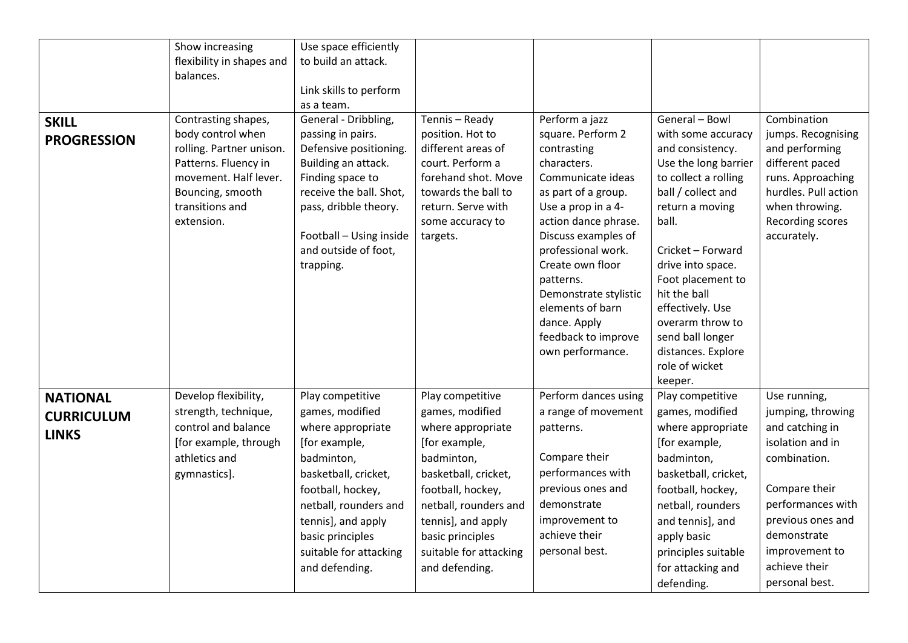|                                                      | Show increasing<br>flexibility in shapes and                                                                                                                               | Use space efficiently<br>to build an attack.                                                                                                                                                                                                        |                                                                                                                                                                                                                                                     |                                                                                                                                                                                                          |                                                                                                                                                                                                                                                        |                                                                                                                                                                                                                         |
|------------------------------------------------------|----------------------------------------------------------------------------------------------------------------------------------------------------------------------------|-----------------------------------------------------------------------------------------------------------------------------------------------------------------------------------------------------------------------------------------------------|-----------------------------------------------------------------------------------------------------------------------------------------------------------------------------------------------------------------------------------------------------|----------------------------------------------------------------------------------------------------------------------------------------------------------------------------------------------------------|--------------------------------------------------------------------------------------------------------------------------------------------------------------------------------------------------------------------------------------------------------|-------------------------------------------------------------------------------------------------------------------------------------------------------------------------------------------------------------------------|
|                                                      | balances.                                                                                                                                                                  |                                                                                                                                                                                                                                                     |                                                                                                                                                                                                                                                     |                                                                                                                                                                                                          |                                                                                                                                                                                                                                                        |                                                                                                                                                                                                                         |
|                                                      |                                                                                                                                                                            | Link skills to perform                                                                                                                                                                                                                              |                                                                                                                                                                                                                                                     |                                                                                                                                                                                                          |                                                                                                                                                                                                                                                        |                                                                                                                                                                                                                         |
| <b>SKILL</b><br><b>PROGRESSION</b>                   | Contrasting shapes,<br>body control when<br>rolling. Partner unison.<br>Patterns. Fluency in<br>movement. Half lever.<br>Bouncing, smooth<br>transitions and<br>extension. | as a team.<br>General - Dribbling,<br>passing in pairs.<br>Defensive positioning.<br>Building an attack.<br>Finding space to<br>receive the ball. Shot,<br>pass, dribble theory.<br>Football - Using inside<br>and outside of foot,                 | Tennis - Ready<br>position. Hot to<br>different areas of<br>court. Perform a<br>forehand shot. Move<br>towards the ball to<br>return. Serve with<br>some accuracy to<br>targets.                                                                    | Perform a jazz<br>square. Perform 2<br>contrasting<br>characters.<br>Communicate ideas<br>as part of a group.<br>Use a prop in a 4-<br>action dance phrase.<br>Discuss examples of<br>professional work. | General - Bowl<br>with some accuracy<br>and consistency.<br>Use the long barrier<br>to collect a rolling<br>ball / collect and<br>return a moving<br>ball.<br>Cricket - Forward                                                                        | Combination<br>jumps. Recognising<br>and performing<br>different paced<br>runs. Approaching<br>hurdles. Pull action<br>when throwing.<br>Recording scores<br>accurately.                                                |
|                                                      |                                                                                                                                                                            | trapping.                                                                                                                                                                                                                                           |                                                                                                                                                                                                                                                     | Create own floor<br>patterns.<br>Demonstrate stylistic<br>elements of barn<br>dance. Apply<br>feedback to improve<br>own performance.                                                                    | drive into space.<br>Foot placement to<br>hit the ball<br>effectively. Use<br>overarm throw to<br>send ball longer<br>distances. Explore<br>role of wicket<br>keeper.                                                                                  |                                                                                                                                                                                                                         |
| <b>NATIONAL</b><br><b>CURRICULUM</b><br><b>LINKS</b> | Develop flexibility,<br>strength, technique,<br>control and balance<br>[for example, through<br>athletics and<br>gymnastics].                                              | Play competitive<br>games, modified<br>where appropriate<br>[for example,<br>badminton,<br>basketball, cricket,<br>football, hockey,<br>netball, rounders and<br>tennis], and apply<br>basic principles<br>suitable for attacking<br>and defending. | Play competitive<br>games, modified<br>where appropriate<br>[for example,<br>badminton,<br>basketball, cricket,<br>football, hockey,<br>netball, rounders and<br>tennis], and apply<br>basic principles<br>suitable for attacking<br>and defending. | Perform dances using<br>a range of movement<br>patterns.<br>Compare their<br>performances with<br>previous ones and<br>demonstrate<br>improvement to<br>achieve their<br>personal best.                  | Play competitive<br>games, modified<br>where appropriate<br>[for example,<br>badminton,<br>basketball, cricket,<br>football, hockey,<br>netball, rounders<br>and tennis], and<br>apply basic<br>principles suitable<br>for attacking and<br>defending. | Use running,<br>jumping, throwing<br>and catching in<br>isolation and in<br>combination.<br>Compare their<br>performances with<br>previous ones and<br>demonstrate<br>improvement to<br>achieve their<br>personal best. |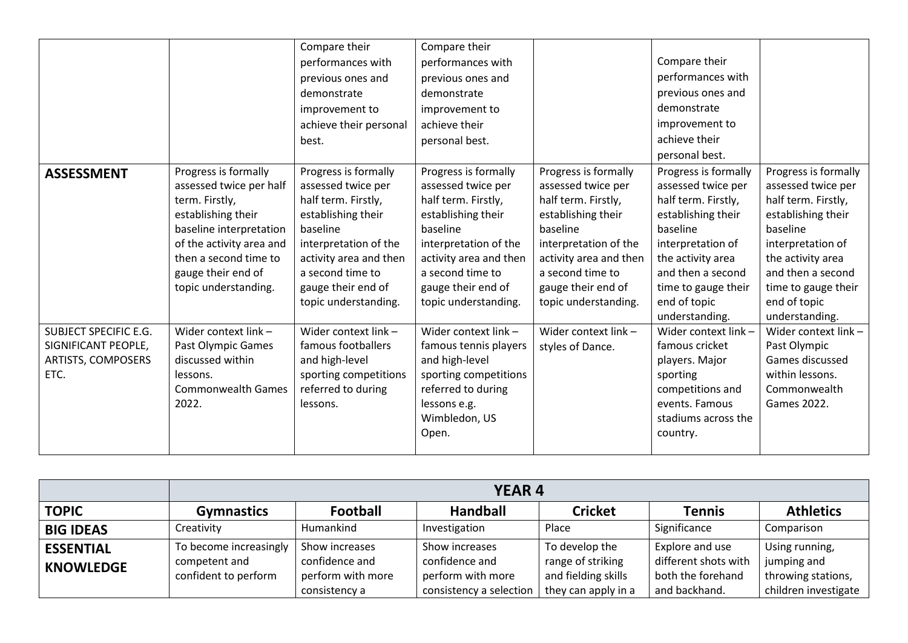|                                                                            |                                                                                                                                                                                                                       | Compare their<br>performances with<br>previous ones and<br>demonstrate<br>improvement to<br>achieve their personal<br>best.                                                                                              | Compare their<br>performances with<br>previous ones and<br>demonstrate<br>improvement to<br>achieve their<br>personal best.                                                                                              |                                                                                                                                                                                                                          | Compare their<br>performances with<br>previous ones and<br>demonstrate<br>improvement to<br>achieve their<br>personal best.                                                                                                 |                                                                                                                                                                                                                             |
|----------------------------------------------------------------------------|-----------------------------------------------------------------------------------------------------------------------------------------------------------------------------------------------------------------------|--------------------------------------------------------------------------------------------------------------------------------------------------------------------------------------------------------------------------|--------------------------------------------------------------------------------------------------------------------------------------------------------------------------------------------------------------------------|--------------------------------------------------------------------------------------------------------------------------------------------------------------------------------------------------------------------------|-----------------------------------------------------------------------------------------------------------------------------------------------------------------------------------------------------------------------------|-----------------------------------------------------------------------------------------------------------------------------------------------------------------------------------------------------------------------------|
| <b>ASSESSMENT</b>                                                          | Progress is formally<br>assessed twice per half<br>term. Firstly,<br>establishing their<br>baseline interpretation<br>of the activity area and<br>then a second time to<br>gauge their end of<br>topic understanding. | Progress is formally<br>assessed twice per<br>half term. Firstly,<br>establishing their<br>baseline<br>interpretation of the<br>activity area and then<br>a second time to<br>gauge their end of<br>topic understanding. | Progress is formally<br>assessed twice per<br>half term. Firstly,<br>establishing their<br>baseline<br>interpretation of the<br>activity area and then<br>a second time to<br>gauge their end of<br>topic understanding. | Progress is formally<br>assessed twice per<br>half term. Firstly,<br>establishing their<br>baseline<br>interpretation of the<br>activity area and then<br>a second time to<br>gauge their end of<br>topic understanding. | Progress is formally<br>assessed twice per<br>half term. Firstly,<br>establishing their<br>baseline<br>interpretation of<br>the activity area<br>and then a second<br>time to gauge their<br>end of topic<br>understanding. | Progress is formally<br>assessed twice per<br>half term. Firstly,<br>establishing their<br>baseline<br>interpretation of<br>the activity area<br>and then a second<br>time to gauge their<br>end of topic<br>understanding. |
| SUBJECT SPECIFIC E.G.<br>SIGNIFICANT PEOPLE,<br>ARTISTS, COMPOSERS<br>ETC. | Wider context link -<br>Past Olympic Games<br>discussed within<br>lessons.<br><b>Commonwealth Games</b><br>2022.                                                                                                      | Wider context link -<br>famous footballers<br>and high-level<br>sporting competitions<br>referred to during<br>lessons.                                                                                                  | Wider context link -<br>famous tennis players<br>and high-level<br>sporting competitions<br>referred to during<br>lessons e.g.<br>Wimbledon, US<br>Open.                                                                 | Wider context link -<br>styles of Dance.                                                                                                                                                                                 | Wider context link -<br>famous cricket<br>players. Major<br>sporting<br>competitions and<br>events. Famous<br>stadiums across the<br>country.                                                                               | Wider context link -<br>Past Olympic<br>Games discussed<br>within lessons.<br>Commonwealth<br>Games 2022.                                                                                                                   |

|                                      | <b>YEAR 4</b>                                                   |                                                                        |                                                                                  |                                                                                   |                                                                               |                                                                             |  |
|--------------------------------------|-----------------------------------------------------------------|------------------------------------------------------------------------|----------------------------------------------------------------------------------|-----------------------------------------------------------------------------------|-------------------------------------------------------------------------------|-----------------------------------------------------------------------------|--|
| <b>TOPIC</b>                         | <b>Gymnastics</b>                                               | <b>Football</b>                                                        | <b>Handball</b>                                                                  | <b>Cricket</b>                                                                    | <b>Tennis</b>                                                                 | <b>Athletics</b>                                                            |  |
| <b>BIG IDEAS</b>                     | Creativity                                                      | Humankind                                                              | Investigation                                                                    | Place                                                                             | Significance                                                                  | Comparison                                                                  |  |
| <b>ESSENTIAL</b><br><b>KNOWLEDGE</b> | To become increasingly<br>competent and<br>confident to perform | Show increases<br>confidence and<br>perform with more<br>consistency a | Show increases<br>confidence and<br>perform with more<br>consistency a selection | To develop the<br>range of striking<br>and fielding skills<br>they can apply in a | Explore and use<br>different shots with<br>both the forehand<br>and backhand. | Using running,<br>jumping and<br>throwing stations,<br>children investigate |  |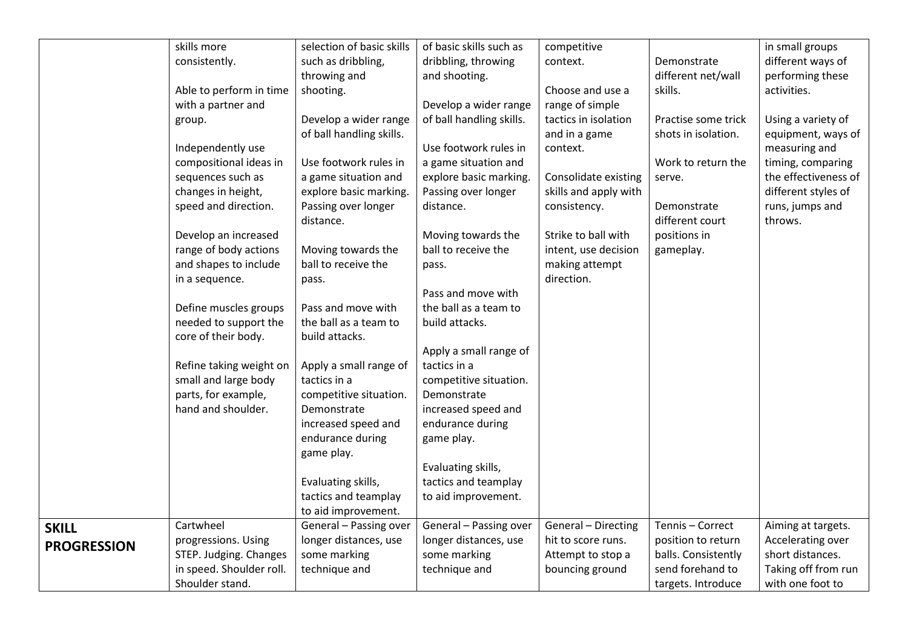|                    | skills more              | selection of basic skills                   | of basic skills such as  | competitive                 |                     | in small groups      |
|--------------------|--------------------------|---------------------------------------------|--------------------------|-----------------------------|---------------------|----------------------|
|                    | consistently.            | such as dribbling,                          | dribbling, throwing      | context.                    | Demonstrate         | different ways of    |
|                    |                          | throwing and                                | and shooting.            |                             | different net/wall  | performing these     |
|                    | Able to perform in time  | shooting.                                   |                          | Choose and use a            | skills.             | activities.          |
|                    | with a partner and       |                                             | Develop a wider range    | range of simple             |                     |                      |
|                    | group.                   | Develop a wider range                       | of ball handling skills. | tactics in isolation        | Practise some trick | Using a variety of   |
|                    |                          | of ball handling skills.                    |                          | and in a game               | shots in isolation. | equipment, ways of   |
|                    | Independently use        |                                             | Use footwork rules in    | context.                    |                     | measuring and        |
|                    | compositional ideas in   | Use footwork rules in                       | a game situation and     |                             | Work to return the  | timing, comparing    |
|                    | sequences such as        | a game situation and                        | explore basic marking.   | <b>Consolidate existing</b> | serve.              | the effectiveness of |
|                    | changes in height,       | explore basic marking.                      | Passing over longer      | skills and apply with       |                     | different styles of  |
|                    | speed and direction.     | Passing over longer                         | distance.                | consistency.                | Demonstrate         | runs, jumps and      |
|                    |                          | distance.                                   |                          |                             | different court     | throws.              |
|                    | Develop an increased     |                                             | Moving towards the       | Strike to ball with         | positions in        |                      |
|                    | range of body actions    | Moving towards the                          | ball to receive the      | intent, use decision        | gameplay.           |                      |
|                    | and shapes to include    | ball to receive the                         | pass.                    | making attempt              |                     |                      |
|                    | in a sequence.           | pass.                                       |                          | direction.                  |                     |                      |
|                    |                          |                                             | Pass and move with       |                             |                     |                      |
|                    | Define muscles groups    | Pass and move with                          | the ball as a team to    |                             |                     |                      |
|                    | needed to support the    | the ball as a team to                       | build attacks.           |                             |                     |                      |
|                    | core of their body.      | build attacks.                              |                          |                             |                     |                      |
|                    |                          |                                             | Apply a small range of   |                             |                     |                      |
|                    | Refine taking weight on  | Apply a small range of                      | tactics in a             |                             |                     |                      |
|                    | small and large body     | tactics in a                                | competitive situation.   |                             |                     |                      |
|                    | parts, for example,      | competitive situation.                      | Demonstrate              |                             |                     |                      |
|                    | hand and shoulder.       | Demonstrate                                 | increased speed and      |                             |                     |                      |
|                    |                          | increased speed and                         | endurance during         |                             |                     |                      |
|                    |                          | endurance during                            | game play.               |                             |                     |                      |
|                    |                          | game play.                                  |                          |                             |                     |                      |
|                    |                          |                                             | Evaluating skills,       |                             |                     |                      |
|                    |                          | Evaluating skills,                          | tactics and teamplay     |                             |                     |                      |
|                    |                          | tactics and teamplay<br>to aid improvement. | to aid improvement.      |                             |                     |                      |
|                    | Cartwheel                | General - Passing over                      | General - Passing over   | General - Directing         | Tennis - Correct    | Aiming at targets.   |
| <b>SKILL</b>       | progressions. Using      | longer distances, use                       | longer distances, use    | hit to score runs.          | position to return  | Accelerating over    |
| <b>PROGRESSION</b> | STEP. Judging. Changes   | some marking                                | some marking             | Attempt to stop a           | balls. Consistently | short distances.     |
|                    | in speed. Shoulder roll. | technique and                               | technique and            | bouncing ground             | send forehand to    | Taking off from run  |
|                    | Shoulder stand.          |                                             |                          |                             | targets. Introduce  | with one foot to     |
|                    |                          |                                             |                          |                             |                     |                      |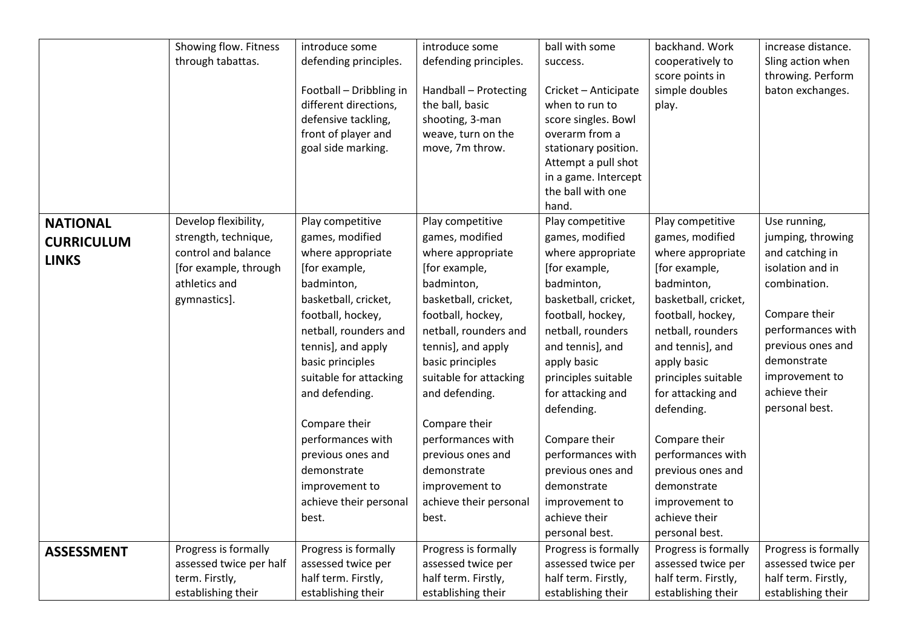|                   | Showing flow. Fitness   | introduce some          | introduce some         | ball with some       | backhand. Work       | increase distance.   |
|-------------------|-------------------------|-------------------------|------------------------|----------------------|----------------------|----------------------|
|                   | through tabattas.       | defending principles.   | defending principles.  | success.             | cooperatively to     | Sling action when    |
|                   |                         |                         |                        |                      | score points in      | throwing. Perform    |
|                   |                         | Football - Dribbling in | Handball - Protecting  | Cricket - Anticipate | simple doubles       | baton exchanges.     |
|                   |                         | different directions,   | the ball, basic        | when to run to       | play.                |                      |
|                   |                         | defensive tackling,     | shooting, 3-man        | score singles. Bowl  |                      |                      |
|                   |                         | front of player and     | weave, turn on the     | overarm from a       |                      |                      |
|                   |                         | goal side marking.      | move, 7m throw.        | stationary position. |                      |                      |
|                   |                         |                         |                        | Attempt a pull shot  |                      |                      |
|                   |                         |                         |                        | in a game. Intercept |                      |                      |
|                   |                         |                         |                        | the ball with one    |                      |                      |
|                   |                         |                         |                        | hand.                |                      |                      |
| <b>NATIONAL</b>   | Develop flexibility,    | Play competitive        | Play competitive       | Play competitive     | Play competitive     | Use running,         |
| <b>CURRICULUM</b> | strength, technique,    | games, modified         | games, modified        | games, modified      | games, modified      | jumping, throwing    |
| <b>LINKS</b>      | control and balance     | where appropriate       | where appropriate      | where appropriate    | where appropriate    | and catching in      |
|                   | [for example, through   | [for example,           | [for example,          | [for example,        | [for example,        | isolation and in     |
|                   | athletics and           | badminton,              | badminton,             | badminton,           | badminton,           | combination.         |
|                   | gymnastics].            | basketball, cricket,    | basketball, cricket,   | basketball, cricket, | basketball, cricket, |                      |
|                   |                         | football, hockey,       | football, hockey,      | football, hockey,    | football, hockey,    | Compare their        |
|                   |                         | netball, rounders and   | netball, rounders and  | netball, rounders    | netball, rounders    | performances with    |
|                   |                         | tennis], and apply      | tennis], and apply     | and tennis], and     | and tennis], and     | previous ones and    |
|                   |                         | basic principles        | basic principles       | apply basic          | apply basic          | demonstrate          |
|                   |                         | suitable for attacking  | suitable for attacking | principles suitable  | principles suitable  | improvement to       |
|                   |                         | and defending.          | and defending.         | for attacking and    | for attacking and    | achieve their        |
|                   |                         |                         |                        | defending.           | defending.           | personal best.       |
|                   |                         | Compare their           | Compare their          |                      |                      |                      |
|                   |                         | performances with       | performances with      | Compare their        | Compare their        |                      |
|                   |                         | previous ones and       | previous ones and      | performances with    | performances with    |                      |
|                   |                         | demonstrate             | demonstrate            | previous ones and    | previous ones and    |                      |
|                   |                         | improvement to          | improvement to         | demonstrate          | demonstrate          |                      |
|                   |                         | achieve their personal  | achieve their personal | improvement to       | improvement to       |                      |
|                   |                         | best.                   | best.                  | achieve their        | achieve their        |                      |
|                   |                         |                         |                        | personal best.       | personal best.       |                      |
| <b>ASSESSMENT</b> | Progress is formally    | Progress is formally    | Progress is formally   | Progress is formally | Progress is formally | Progress is formally |
|                   | assessed twice per half | assessed twice per      | assessed twice per     | assessed twice per   | assessed twice per   | assessed twice per   |
|                   | term. Firstly,          | half term. Firstly,     | half term. Firstly,    | half term. Firstly,  | half term. Firstly,  | half term. Firstly,  |
|                   | establishing their      | establishing their      | establishing their     | establishing their   | establishing their   | establishing their   |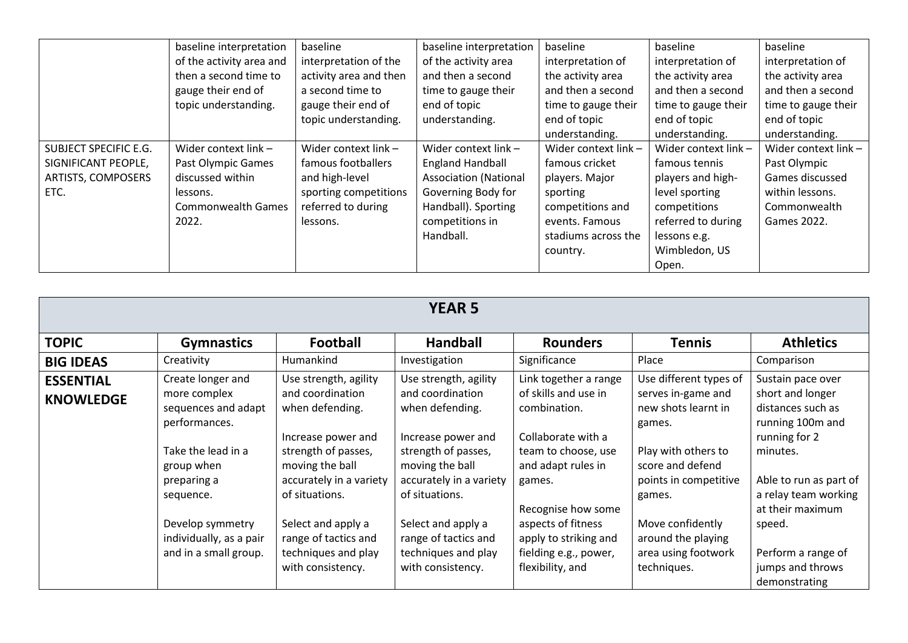|                       | baseline interpretation  | baseline               | baseline interpretation      | baseline             | baseline             | baseline             |
|-----------------------|--------------------------|------------------------|------------------------------|----------------------|----------------------|----------------------|
|                       | of the activity area and | interpretation of the  | of the activity area         | interpretation of    | interpretation of    | interpretation of    |
|                       | then a second time to    | activity area and then | and then a second            | the activity area    | the activity area    | the activity area    |
|                       | gauge their end of       | a second time to       | time to gauge their          | and then a second    | and then a second    | and then a second    |
|                       | topic understanding.     | gauge their end of     | end of topic                 | time to gauge their  | time to gauge their  | time to gauge their  |
|                       |                          | topic understanding.   | understanding.               | end of topic         | end of topic         | end of topic         |
|                       |                          |                        |                              | understanding.       | understanding.       | understanding.       |
| SUBJECT SPECIFIC E.G. | Wider context link -     | Wider context link -   | Wider context link -         | Wider context link - | Wider context link - | Wider context link - |
| SIGNIFICANT PEOPLE,   | Past Olympic Games       | famous footballers     | <b>England Handball</b>      | famous cricket       | famous tennis        | Past Olympic         |
| ARTISTS, COMPOSERS    | discussed within         | and high-level         | <b>Association (National</b> | players. Major       | players and high-    | Games discussed      |
| ETC.                  | lessons.                 | sporting competitions  | Governing Body for           | sporting             | level sporting       | within lessons.      |
|                       | Commonwealth Games       | referred to during     | Handball). Sporting          | competitions and     | competitions         | Commonwealth         |
|                       | 2022.                    | lessons.               | competitions in              | events. Famous       | referred to during   | Games 2022.          |
|                       |                          |                        | Handball.                    | stadiums across the  | lessons e.g.         |                      |
|                       |                          |                        |                              | country.             | Wimbledon, US        |                      |
|                       |                          |                        |                              |                      | Open.                |                      |

| <b>YEAR 5</b>                        |                                                                                                                                                                                                                   |                                                                                                                                                                                                                                                                     |                                                                                                                                                                                                                                                                     |                                                                                                                                                                                                                                                              |                                                                                                                                                                                                                                             |                                                                                                                                                                                                                                                        |  |  |
|--------------------------------------|-------------------------------------------------------------------------------------------------------------------------------------------------------------------------------------------------------------------|---------------------------------------------------------------------------------------------------------------------------------------------------------------------------------------------------------------------------------------------------------------------|---------------------------------------------------------------------------------------------------------------------------------------------------------------------------------------------------------------------------------------------------------------------|--------------------------------------------------------------------------------------------------------------------------------------------------------------------------------------------------------------------------------------------------------------|---------------------------------------------------------------------------------------------------------------------------------------------------------------------------------------------------------------------------------------------|--------------------------------------------------------------------------------------------------------------------------------------------------------------------------------------------------------------------------------------------------------|--|--|
| <b>TOPIC</b>                         | <b>Gymnastics</b>                                                                                                                                                                                                 | <b>Football</b>                                                                                                                                                                                                                                                     | <b>Handball</b>                                                                                                                                                                                                                                                     | <b>Rounders</b>                                                                                                                                                                                                                                              | <b>Tennis</b>                                                                                                                                                                                                                               | <b>Athletics</b>                                                                                                                                                                                                                                       |  |  |
| <b>BIG IDEAS</b>                     | Creativity                                                                                                                                                                                                        | Humankind                                                                                                                                                                                                                                                           | Investigation                                                                                                                                                                                                                                                       | Significance                                                                                                                                                                                                                                                 | Place                                                                                                                                                                                                                                       | Comparison                                                                                                                                                                                                                                             |  |  |
| <b>ESSENTIAL</b><br><b>KNOWLEDGE</b> | Create longer and<br>more complex<br>sequences and adapt<br>performances.<br>Take the lead in a<br>group when<br>preparing a<br>sequence.<br>Develop symmetry<br>individually, as a pair<br>and in a small group. | Use strength, agility<br>and coordination<br>when defending.<br>Increase power and<br>strength of passes,<br>moving the ball<br>accurately in a variety<br>of situations.<br>Select and apply a<br>range of tactics and<br>techniques and play<br>with consistency. | Use strength, agility<br>and coordination<br>when defending.<br>Increase power and<br>strength of passes,<br>moving the ball<br>accurately in a variety<br>of situations.<br>Select and apply a<br>range of tactics and<br>techniques and play<br>with consistency. | Link together a range<br>of skills and use in<br>combination.<br>Collaborate with a<br>team to choose, use<br>and adapt rules in<br>games.<br>Recognise how some<br>aspects of fitness<br>apply to striking and<br>fielding e.g., power,<br>flexibility, and | Use different types of<br>serves in-game and<br>new shots learnt in<br>games.<br>Play with others to<br>score and defend<br>points in competitive<br>games.<br>Move confidently<br>around the playing<br>area using footwork<br>techniques. | Sustain pace over<br>short and longer<br>distances such as<br>running 100m and<br>running for 2<br>minutes.<br>Able to run as part of<br>a relay team working<br>at their maximum<br>speed.<br>Perform a range of<br>jumps and throws<br>demonstrating |  |  |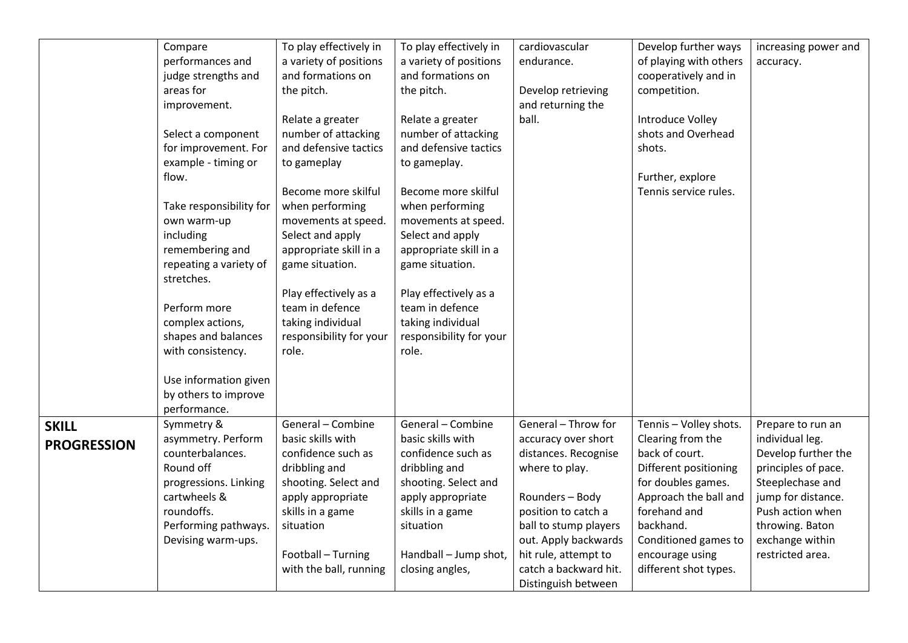|                    |                         |                         |                         | cardiovascular        |                        |                      |
|--------------------|-------------------------|-------------------------|-------------------------|-----------------------|------------------------|----------------------|
|                    | Compare                 | To play effectively in  | To play effectively in  |                       | Develop further ways   | increasing power and |
|                    | performances and        | a variety of positions  | a variety of positions  | endurance.            | of playing with others | accuracy.            |
|                    | judge strengths and     | and formations on       | and formations on       |                       | cooperatively and in   |                      |
|                    | areas for               | the pitch.              | the pitch.              | Develop retrieving    | competition.           |                      |
|                    | improvement.            |                         |                         | and returning the     |                        |                      |
|                    |                         | Relate a greater        | Relate a greater        | ball.                 | Introduce Volley       |                      |
|                    | Select a component      | number of attacking     | number of attacking     |                       | shots and Overhead     |                      |
|                    | for improvement. For    | and defensive tactics   | and defensive tactics   |                       | shots.                 |                      |
|                    | example - timing or     | to gameplay             | to gameplay.            |                       |                        |                      |
|                    | flow.                   |                         |                         |                       | Further, explore       |                      |
|                    |                         | Become more skilful     | Become more skilful     |                       | Tennis service rules.  |                      |
|                    | Take responsibility for | when performing         | when performing         |                       |                        |                      |
|                    | own warm-up             | movements at speed.     | movements at speed.     |                       |                        |                      |
|                    | including               | Select and apply        | Select and apply        |                       |                        |                      |
|                    | remembering and         | appropriate skill in a  | appropriate skill in a  |                       |                        |                      |
|                    | repeating a variety of  | game situation.         | game situation.         |                       |                        |                      |
|                    | stretches.              |                         |                         |                       |                        |                      |
|                    |                         | Play effectively as a   | Play effectively as a   |                       |                        |                      |
|                    | Perform more            | team in defence         | team in defence         |                       |                        |                      |
|                    | complex actions,        | taking individual       | taking individual       |                       |                        |                      |
|                    | shapes and balances     | responsibility for your | responsibility for your |                       |                        |                      |
|                    | with consistency.       | role.                   | role.                   |                       |                        |                      |
|                    |                         |                         |                         |                       |                        |                      |
|                    | Use information given   |                         |                         |                       |                        |                      |
|                    | by others to improve    |                         |                         |                       |                        |                      |
|                    | performance.            |                         |                         |                       |                        |                      |
| <b>SKILL</b>       | Symmetry &              | General - Combine       | General - Combine       | General - Throw for   | Tennis - Volley shots. | Prepare to run an    |
| <b>PROGRESSION</b> | asymmetry. Perform      | basic skills with       | basic skills with       | accuracy over short   | Clearing from the      | individual leg.      |
|                    | counterbalances.        | confidence such as      | confidence such as      | distances. Recognise  | back of court.         | Develop further the  |
|                    | Round off               | dribbling and           | dribbling and           | where to play.        | Different positioning  | principles of pace.  |
|                    | progressions. Linking   | shooting. Select and    | shooting. Select and    |                       | for doubles games.     | Steeplechase and     |
|                    | cartwheels &            | apply appropriate       | apply appropriate       | Rounders - Body       | Approach the ball and  | jump for distance.   |
|                    | roundoffs.              | skills in a game        | skills in a game        | position to catch a   | forehand and           | Push action when     |
|                    | Performing pathways.    | situation               | situation               | ball to stump players | backhand.              | throwing. Baton      |
|                    | Devising warm-ups.      |                         |                         | out. Apply backwards  | Conditioned games to   | exchange within      |
|                    |                         | Football - Turning      | Handball - Jump shot,   | hit rule, attempt to  | encourage using        | restricted area.     |
|                    |                         | with the ball, running  | closing angles,         | catch a backward hit. | different shot types.  |                      |
|                    |                         |                         |                         | Distinguish between   |                        |                      |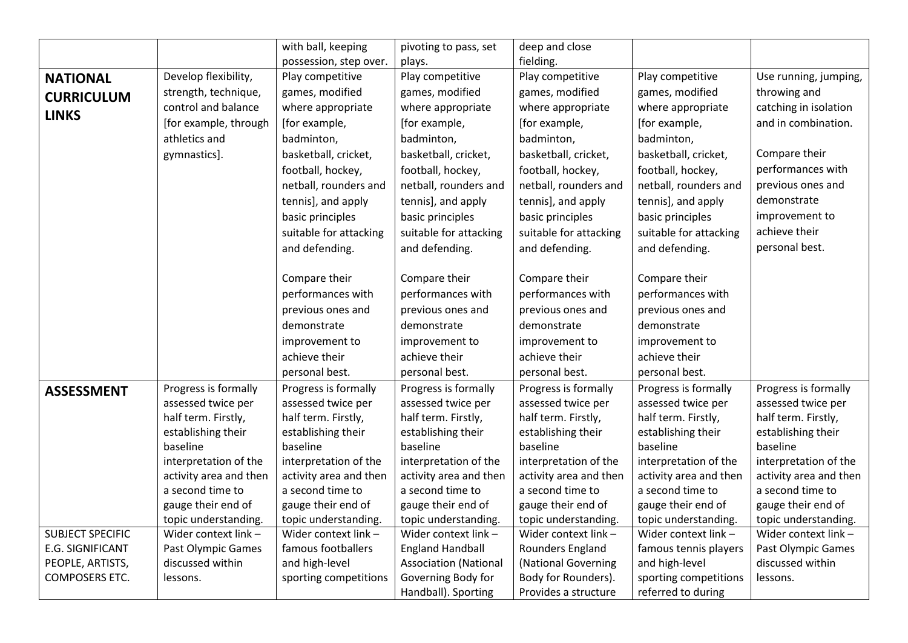|                                           |                                               | with ball, keeping                   | pivoting to pass, set                                   | deep and close                             |                                         |                                        |
|-------------------------------------------|-----------------------------------------------|--------------------------------------|---------------------------------------------------------|--------------------------------------------|-----------------------------------------|----------------------------------------|
|                                           |                                               | possession, step over.               | plays.                                                  | fielding.                                  |                                         |                                        |
| <b>NATIONAL</b>                           | Develop flexibility,                          | Play competitive                     | Play competitive                                        | Play competitive                           | Play competitive                        | Use running, jumping,                  |
| <b>CURRICULUM</b>                         | strength, technique,                          | games, modified                      | games, modified                                         | games, modified                            | games, modified                         | throwing and                           |
|                                           | control and balance                           | where appropriate                    | where appropriate                                       | where appropriate                          | where appropriate                       | catching in isolation                  |
| <b>LINKS</b>                              | [for example, through                         | [for example,                        | [for example,                                           | [for example,                              | [for example,                           | and in combination.                    |
|                                           | athletics and                                 | badminton,                           | badminton,                                              | badminton,                                 | badminton,                              |                                        |
|                                           | gymnastics].                                  | basketball, cricket,                 | basketball, cricket,                                    | basketball, cricket,                       | basketball, cricket,                    | Compare their                          |
|                                           |                                               | football, hockey,                    | football, hockey,                                       | football, hockey,                          | football, hockey,                       | performances with                      |
|                                           |                                               | netball, rounders and                | netball, rounders and                                   | netball, rounders and                      | netball, rounders and                   | previous ones and                      |
|                                           |                                               | tennis], and apply                   | tennis], and apply                                      | tennis], and apply                         | tennis], and apply                      | demonstrate                            |
|                                           |                                               | basic principles                     | basic principles                                        | basic principles                           | basic principles                        | improvement to                         |
|                                           |                                               | suitable for attacking               | suitable for attacking                                  | suitable for attacking                     | suitable for attacking                  | achieve their                          |
|                                           |                                               | and defending.                       | and defending.                                          | and defending.                             | and defending.                          | personal best.                         |
|                                           |                                               |                                      |                                                         |                                            |                                         |                                        |
|                                           |                                               | Compare their                        | Compare their                                           | Compare their                              | Compare their                           |                                        |
|                                           |                                               | performances with                    | performances with                                       | performances with                          | performances with                       |                                        |
|                                           |                                               | previous ones and                    | previous ones and                                       | previous ones and                          | previous ones and                       |                                        |
|                                           |                                               | demonstrate                          | demonstrate                                             | demonstrate                                | demonstrate                             |                                        |
|                                           |                                               | improvement to                       | improvement to                                          | improvement to                             | improvement to                          |                                        |
|                                           |                                               | achieve their                        | achieve their                                           | achieve their                              | achieve their                           |                                        |
|                                           |                                               | personal best.                       | personal best.                                          | personal best.                             | personal best.                          |                                        |
| <b>ASSESSMENT</b>                         | Progress is formally                          | Progress is formally                 | Progress is formally                                    | Progress is formally                       | Progress is formally                    | Progress is formally                   |
|                                           | assessed twice per                            | assessed twice per                   | assessed twice per                                      | assessed twice per                         | assessed twice per                      | assessed twice per                     |
|                                           | half term. Firstly,                           | half term. Firstly,                  | half term. Firstly,                                     | half term. Firstly,                        | half term. Firstly,                     | half term. Firstly,                    |
|                                           | establishing their                            | establishing their                   | establishing their                                      | establishing their                         | establishing their                      | establishing their                     |
|                                           | baseline                                      | baseline                             | baseline                                                | baseline                                   | baseline                                | baseline                               |
|                                           | interpretation of the                         | interpretation of the                | interpretation of the                                   | interpretation of the                      | interpretation of the                   | interpretation of the                  |
|                                           | activity area and then                        | activity area and then               | activity area and then                                  | activity area and then                     | activity area and then                  | activity area and then                 |
|                                           | a second time to                              | a second time to                     | a second time to                                        | a second time to                           | a second time to                        | a second time to                       |
|                                           | gauge their end of                            | gauge their end of                   | gauge their end of                                      | gauge their end of                         | gauge their end of                      | gauge their end of                     |
|                                           | topic understanding.                          | topic understanding.                 | topic understanding.                                    | topic understanding.                       | topic understanding.                    | topic understanding.                   |
| <b>SUBJECT SPECIFIC</b>                   | Wider context link -                          | Wider context link -                 | Wider context link -                                    | Wider context link -                       | Wider context link -                    | Wider context link -                   |
| E.G. SIGNIFICANT                          | <b>Past Olympic Games</b><br>discussed within | famous footballers<br>and high-level | <b>England Handball</b><br><b>Association (National</b> | Rounders England                           | famous tennis players<br>and high-level | Past Olympic Games<br>discussed within |
| PEOPLE, ARTISTS,<br><b>COMPOSERS ETC.</b> | lessons.                                      | sporting competitions                | Governing Body for                                      | (National Governing<br>Body for Rounders). | sporting competitions                   | lessons.                               |
|                                           |                                               |                                      | Handball). Sporting                                     | Provides a structure                       | referred to during                      |                                        |
|                                           |                                               |                                      |                                                         |                                            |                                         |                                        |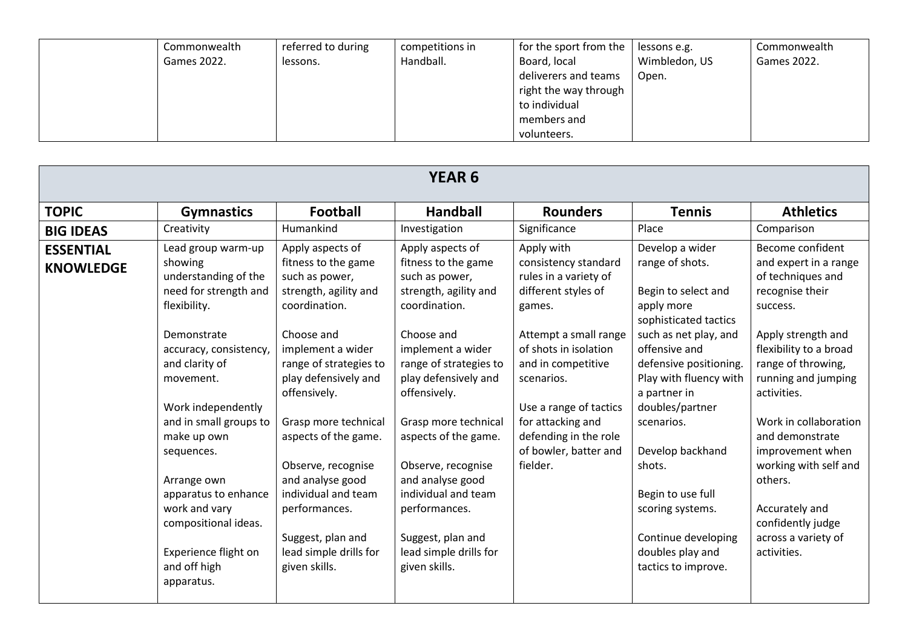| Commonwealth | referred to during | competitions in | for the sport from the $ $ lessons e.g. |               | Commonwealth |
|--------------|--------------------|-----------------|-----------------------------------------|---------------|--------------|
| Games 2022.  | lessons.           | Handball.       | Board, local                            | Wimbledon, US | Games 2022.  |
|              |                    |                 | deliverers and teams                    | Open.         |              |
|              |                    |                 | right the way through                   |               |              |
|              |                    |                 | to individual                           |               |              |
|              |                    |                 | members and                             |               |              |
|              |                    |                 | volunteers.                             |               |              |

| <b>YEAR 6</b>                        |                                                                                                                                                                                                                                                                                                                                                                                           |                                                                                                                                                                                                                                                                                                                                                                                                            |                                                                                                                                                                                                                                                                                                                                                                                                            |                                                                                                                                                                                                                                                                                                 |                                                                                                                                                                                                                                                                                                                                                                                          |                                                                                                                                                                                                                                                                                                                                                                                            |  |
|--------------------------------------|-------------------------------------------------------------------------------------------------------------------------------------------------------------------------------------------------------------------------------------------------------------------------------------------------------------------------------------------------------------------------------------------|------------------------------------------------------------------------------------------------------------------------------------------------------------------------------------------------------------------------------------------------------------------------------------------------------------------------------------------------------------------------------------------------------------|------------------------------------------------------------------------------------------------------------------------------------------------------------------------------------------------------------------------------------------------------------------------------------------------------------------------------------------------------------------------------------------------------------|-------------------------------------------------------------------------------------------------------------------------------------------------------------------------------------------------------------------------------------------------------------------------------------------------|------------------------------------------------------------------------------------------------------------------------------------------------------------------------------------------------------------------------------------------------------------------------------------------------------------------------------------------------------------------------------------------|--------------------------------------------------------------------------------------------------------------------------------------------------------------------------------------------------------------------------------------------------------------------------------------------------------------------------------------------------------------------------------------------|--|
| <b>TOPIC</b>                         | <b>Gymnastics</b>                                                                                                                                                                                                                                                                                                                                                                         | Football                                                                                                                                                                                                                                                                                                                                                                                                   | <b>Handball</b>                                                                                                                                                                                                                                                                                                                                                                                            | <b>Rounders</b>                                                                                                                                                                                                                                                                                 | <b>Tennis</b>                                                                                                                                                                                                                                                                                                                                                                            | <b>Athletics</b>                                                                                                                                                                                                                                                                                                                                                                           |  |
| <b>BIG IDEAS</b>                     | Creativity                                                                                                                                                                                                                                                                                                                                                                                | Humankind                                                                                                                                                                                                                                                                                                                                                                                                  | Investigation                                                                                                                                                                                                                                                                                                                                                                                              | Significance                                                                                                                                                                                                                                                                                    | Place                                                                                                                                                                                                                                                                                                                                                                                    | Comparison                                                                                                                                                                                                                                                                                                                                                                                 |  |
| <b>ESSENTIAL</b><br><b>KNOWLEDGE</b> | Lead group warm-up<br>showing<br>understanding of the<br>need for strength and<br>flexibility.<br>Demonstrate<br>accuracy, consistency,<br>and clarity of<br>movement.<br>Work independently<br>and in small groups to<br>make up own<br>sequences.<br>Arrange own<br>apparatus to enhance<br>work and vary<br>compositional ideas.<br>Experience flight on<br>and off high<br>apparatus. | Apply aspects of<br>fitness to the game<br>such as power,<br>strength, agility and<br>coordination.<br>Choose and<br>implement a wider<br>range of strategies to<br>play defensively and<br>offensively.<br>Grasp more technical<br>aspects of the game.<br>Observe, recognise<br>and analyse good<br>individual and team<br>performances.<br>Suggest, plan and<br>lead simple drills for<br>given skills. | Apply aspects of<br>fitness to the game<br>such as power,<br>strength, agility and<br>coordination.<br>Choose and<br>implement a wider<br>range of strategies to<br>play defensively and<br>offensively.<br>Grasp more technical<br>aspects of the game.<br>Observe, recognise<br>and analyse good<br>individual and team<br>performances.<br>Suggest, plan and<br>lead simple drills for<br>given skills. | Apply with<br>consistency standard<br>rules in a variety of<br>different styles of<br>games.<br>Attempt a small range<br>of shots in isolation<br>and in competitive<br>scenarios.<br>Use a range of tactics<br>for attacking and<br>defending in the role<br>of bowler, batter and<br>fielder. | Develop a wider<br>range of shots.<br>Begin to select and<br>apply more<br>sophisticated tactics<br>such as net play, and<br>offensive and<br>defensive positioning.<br>Play with fluency with<br>a partner in<br>doubles/partner<br>scenarios.<br>Develop backhand<br>shots.<br>Begin to use full<br>scoring systems.<br>Continue developing<br>doubles play and<br>tactics to improve. | Become confident<br>and expert in a range<br>of techniques and<br>recognise their<br>success.<br>Apply strength and<br>flexibility to a broad<br>range of throwing,<br>running and jumping<br>activities.<br>Work in collaboration<br>and demonstrate<br>improvement when<br>working with self and<br>others.<br>Accurately and<br>confidently judge<br>across a variety of<br>activities. |  |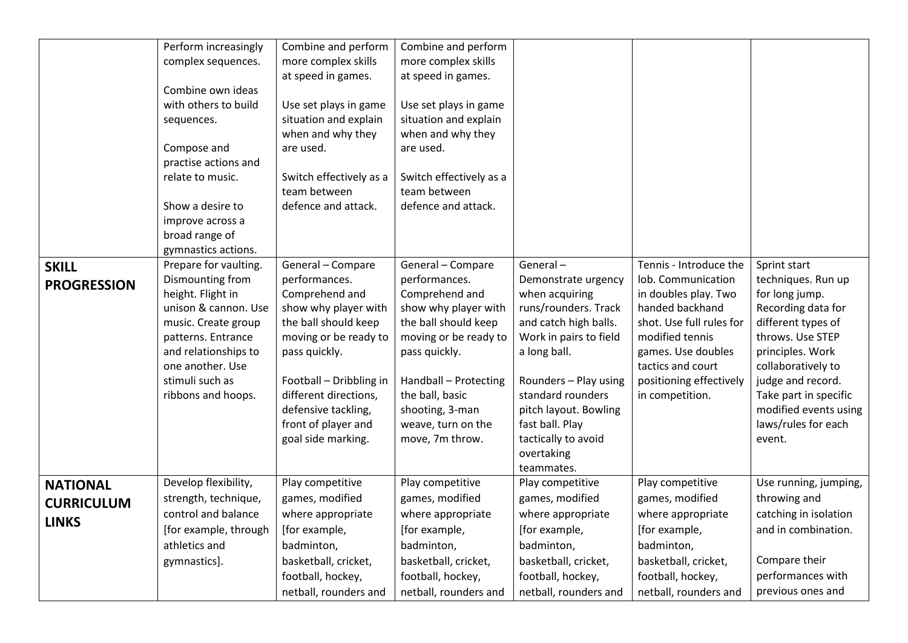|                                                      | Perform increasingly<br>complex sequences.<br>Combine own ideas<br>with others to build<br>sequences.<br>Compose and<br>practise actions and<br>relate to music.<br>Show a desire to<br>improve across a<br>broad range of<br>gymnastics actions. | Combine and perform<br>more complex skills<br>at speed in games.<br>Use set plays in game<br>situation and explain<br>when and why they<br>are used.<br>Switch effectively as a<br>team between<br>defence and attack.           | Combine and perform<br>more complex skills<br>at speed in games.<br>Use set plays in game<br>situation and explain<br>when and why they<br>are used.<br>Switch effectively as a<br>team between<br>defence and attack.               |                                                                                                                                                                                                                                                        |                                                                                                                                                                                 |                                                                                                                                                                                                                                  |
|------------------------------------------------------|---------------------------------------------------------------------------------------------------------------------------------------------------------------------------------------------------------------------------------------------------|----------------------------------------------------------------------------------------------------------------------------------------------------------------------------------------------------------------------------------|--------------------------------------------------------------------------------------------------------------------------------------------------------------------------------------------------------------------------------------|--------------------------------------------------------------------------------------------------------------------------------------------------------------------------------------------------------------------------------------------------------|---------------------------------------------------------------------------------------------------------------------------------------------------------------------------------|----------------------------------------------------------------------------------------------------------------------------------------------------------------------------------------------------------------------------------|
| <b>SKILL</b><br><b>PROGRESSION</b>                   | Prepare for vaulting.<br>Dismounting from                                                                                                                                                                                                         | General - Compare<br>performances.                                                                                                                                                                                               | General - Compare<br>performances.                                                                                                                                                                                                   | General-<br>Demonstrate urgency                                                                                                                                                                                                                        | Tennis - Introduce the<br>lob. Communication                                                                                                                                    | Sprint start<br>techniques. Run up                                                                                                                                                                                               |
|                                                      | height. Flight in<br>unison & cannon. Use<br>music. Create group<br>patterns. Entrance<br>and relationships to<br>one another. Use<br>stimuli such as<br>ribbons and hoops.                                                                       | Comprehend and<br>show why player with<br>the ball should keep<br>moving or be ready to<br>pass quickly.<br>Football - Dribbling in<br>different directions,<br>defensive tackling,<br>front of player and<br>goal side marking. | Comprehend and<br>show why player with<br>the ball should keep<br>moving or be ready to<br>pass quickly.<br>Handball - Protecting<br>the ball, basic<br>shooting, 3-man<br>weave, turn on the<br>move, 7m throw.<br>Play competitive | when acquiring<br>runs/rounders. Track<br>and catch high balls.<br>Work in pairs to field<br>a long ball.<br>Rounders - Play using<br>standard rounders<br>pitch layout. Bowling<br>fast ball. Play<br>tactically to avoid<br>overtaking<br>teammates. | in doubles play. Two<br>handed backhand<br>shot. Use full rules for<br>modified tennis<br>games. Use doubles<br>tactics and court<br>positioning effectively<br>in competition. | for long jump.<br>Recording data for<br>different types of<br>throws. Use STEP<br>principles. Work<br>collaboratively to<br>judge and record.<br>Take part in specific<br>modified events using<br>laws/rules for each<br>event. |
| <b>NATIONAL</b><br><b>CURRICULUM</b><br><b>LINKS</b> | Develop flexibility,<br>strength, technique,<br>control and balance                                                                                                                                                                               | Play competitive<br>games, modified<br>where appropriate                                                                                                                                                                         | games, modified<br>where appropriate                                                                                                                                                                                                 | Play competitive<br>games, modified<br>where appropriate                                                                                                                                                                                               | Play competitive<br>games, modified<br>where appropriate                                                                                                                        | Use running, jumping,<br>throwing and<br>catching in isolation                                                                                                                                                                   |
|                                                      | [for example, through<br>athletics and                                                                                                                                                                                                            | [for example,<br>badminton,                                                                                                                                                                                                      | [for example,<br>badminton,                                                                                                                                                                                                          | [for example,<br>badminton,                                                                                                                                                                                                                            | [for example,<br>badminton,                                                                                                                                                     | and in combination.                                                                                                                                                                                                              |
|                                                      | gymnastics].                                                                                                                                                                                                                                      | basketball, cricket,<br>football, hockey,                                                                                                                                                                                        | basketball, cricket,<br>football, hockey,                                                                                                                                                                                            | basketball, cricket,<br>football, hockey,                                                                                                                                                                                                              | basketball, cricket,<br>football, hockey,                                                                                                                                       | Compare their<br>performances with                                                                                                                                                                                               |
|                                                      |                                                                                                                                                                                                                                                   | netball, rounders and                                                                                                                                                                                                            | netball, rounders and                                                                                                                                                                                                                | netball, rounders and                                                                                                                                                                                                                                  | netball, rounders and                                                                                                                                                           | previous ones and                                                                                                                                                                                                                |